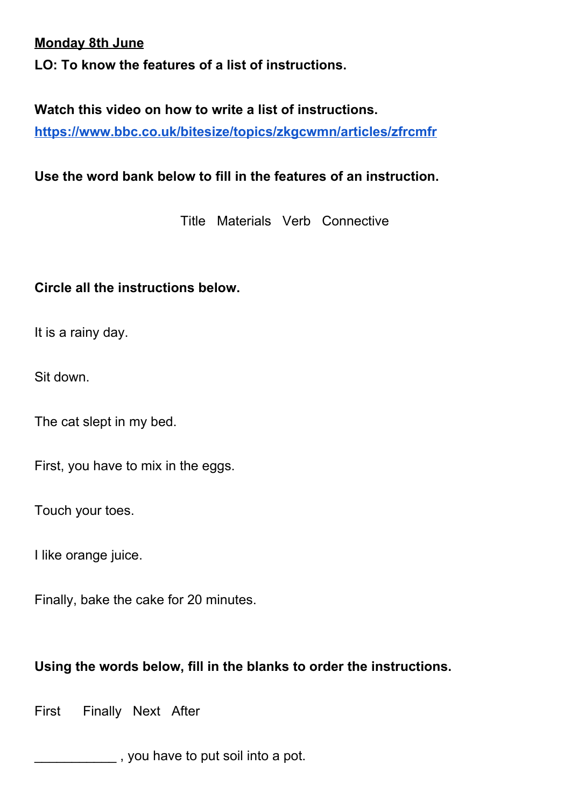#### **Monday 8th June**

**LO: To know the features of a list of instructions.**

**Watch this video on how to write a list of instructions. <https://www.bbc.co.uk/bitesize/topics/zkgcwmn/articles/zfrcmfr>**

**Use the word bank below to fill in the features of an instruction.**

Title Materials Verb Connective

## **Circle all the instructions below.**

It is a rainy day.

Sit down.

The cat slept in my bed.

First, you have to mix in the eggs.

Touch your toes.

I like orange juice.

Finally, bake the cake for 20 minutes.

## **Using the words below, fill in the blanks to order the instructions.**

First Finally Next After

you have to put soil into a pot.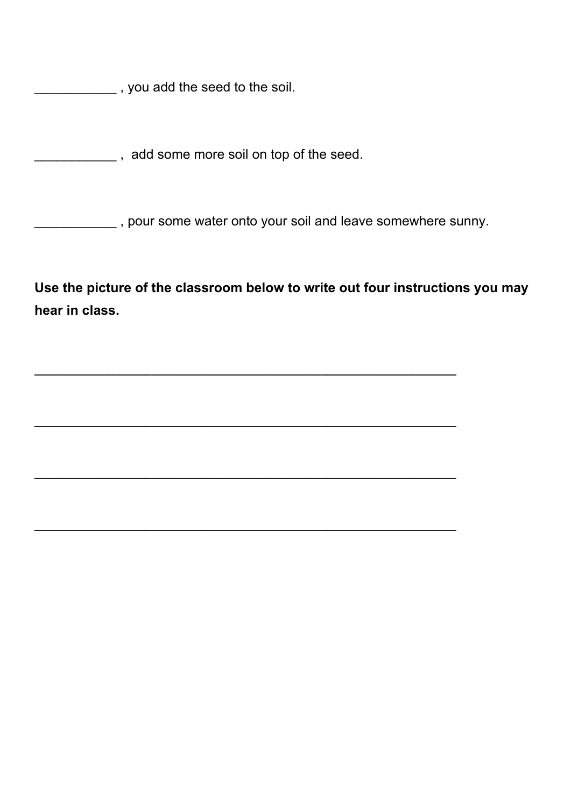**EXECUTE:** , you add the seed to the soil.

add some more soil on top of the seed.

pour some water onto your soil and leave somewhere sunny.

**Use the picture of the classroom below to write out four instructions you may hear in class.**

**\_\_\_\_\_\_\_\_\_\_\_\_\_\_\_\_\_\_\_\_\_\_\_\_\_\_\_\_\_\_\_\_\_\_\_\_\_\_\_\_\_\_\_\_\_\_\_\_\_\_\_\_\_\_\_\_\_\_\_\_\_\_\_\_\_\_\_\_\_\_\_\_**

**\_\_\_\_\_\_\_\_\_\_\_\_\_\_\_\_\_\_\_\_\_\_\_\_\_\_\_\_\_\_\_\_\_\_\_\_\_\_\_\_\_\_\_\_\_\_\_\_\_\_\_\_\_\_\_\_\_\_\_\_\_\_\_\_\_\_\_\_\_\_\_\_**

**\_\_\_\_\_\_\_\_\_\_\_\_\_\_\_\_\_\_\_\_\_\_\_\_\_\_\_\_\_\_\_\_\_\_\_\_\_\_\_\_\_\_\_\_\_\_\_\_\_\_\_\_\_\_\_\_\_\_\_\_\_\_\_\_\_\_\_\_\_\_\_\_**

**\_\_\_\_\_\_\_\_\_\_\_\_\_\_\_\_\_\_\_\_\_\_\_\_\_\_\_\_\_\_\_\_\_\_\_\_\_\_\_\_\_\_\_\_\_\_\_\_\_\_\_\_\_\_\_\_\_\_\_\_\_\_\_\_\_\_\_\_\_\_\_\_**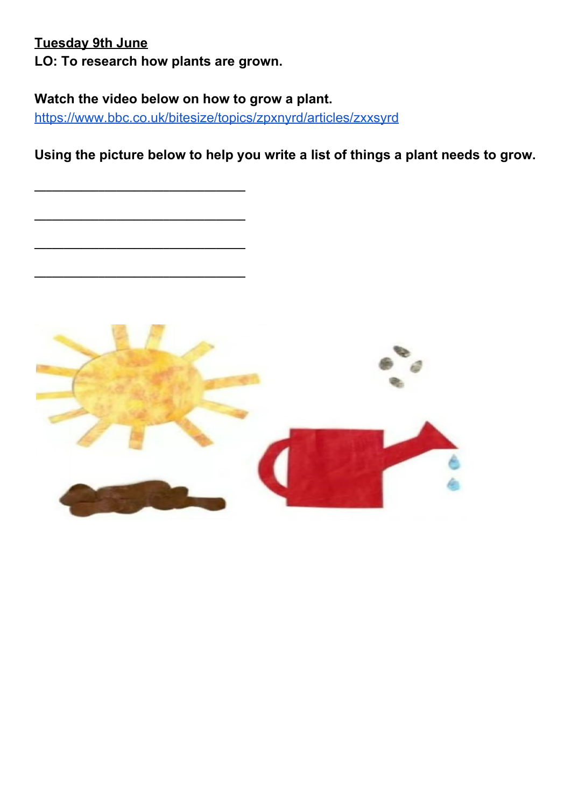# **Tuesday 9th June**

**LO: To research how plants are grown.**

**\_\_\_\_\_\_\_\_\_\_\_\_\_\_\_\_\_\_\_\_\_\_\_\_\_\_\_\_\_\_\_\_\_\_\_\_**

**\_\_\_\_\_\_\_\_\_\_\_\_\_\_\_\_\_\_\_\_\_\_\_\_\_\_\_\_\_\_\_\_\_\_\_\_**

**\_\_\_\_\_\_\_\_\_\_\_\_\_\_\_\_\_\_\_\_\_\_\_\_\_\_\_\_\_\_\_\_\_\_\_\_**

**\_\_\_\_\_\_\_\_\_\_\_\_\_\_\_\_\_\_\_\_\_\_\_\_\_\_\_\_\_\_\_\_\_\_\_\_**

### **Watch the video below on how to grow a plant.**

<https://www.bbc.co.uk/bitesize/topics/zpxnyrd/articles/zxxsyrd>

**Using the picture below to help you write a list of things a plant needs to grow.**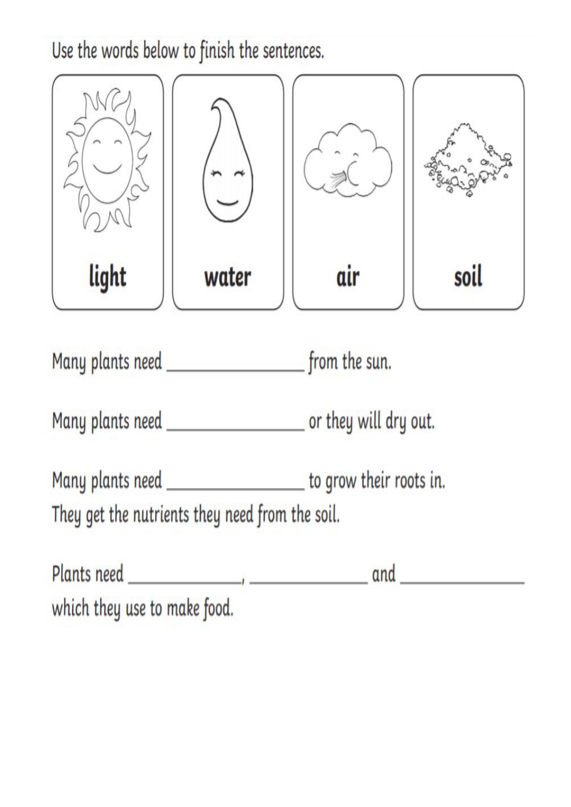Use the words below to finish the sentences.

| light                                                                                                      | water | air                   | soil |  |
|------------------------------------------------------------------------------------------------------------|-------|-----------------------|------|--|
| Many plants need ________________                                                                          |       | from the sun.         |      |  |
| Many plants need ____________                                                                              |       | or they will dry out. |      |  |
| Many plants need ___________<br>to grow their roots in.<br>They get the nutrients they need from the soil. |       |                       |      |  |
| which they use to make food.                                                                               |       |                       |      |  |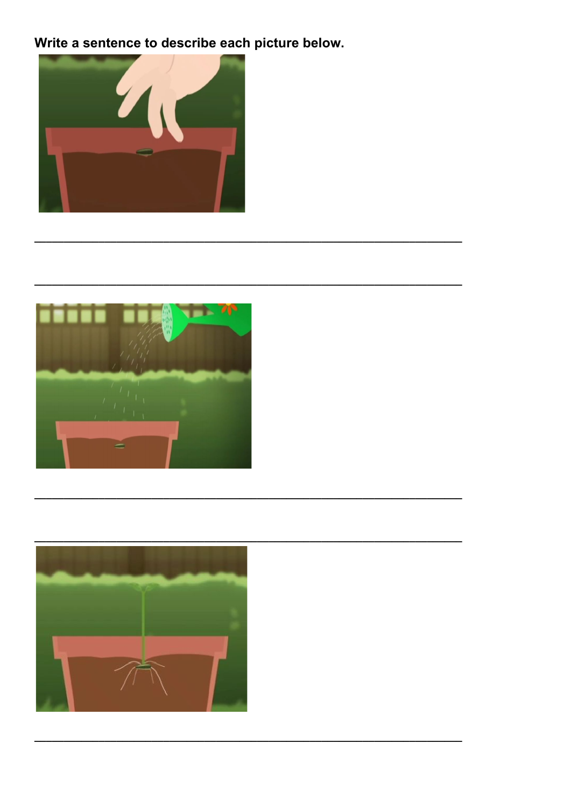Write a sentence to describe each picture below.





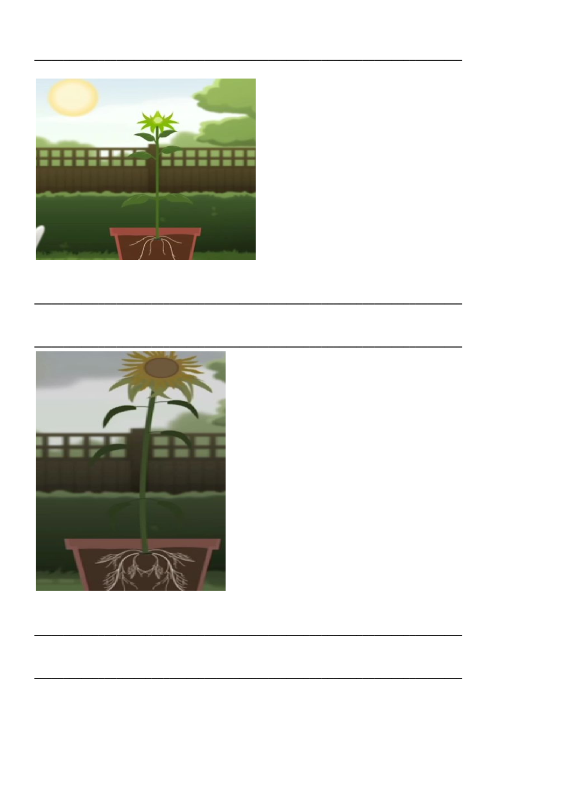

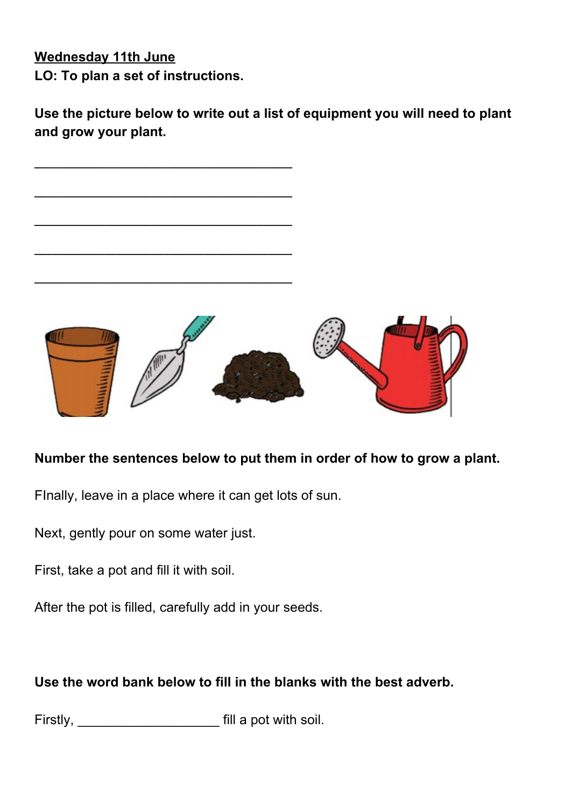**Wednesday 11th June LO: To plan a set of instructions.**

**Use the picture below to write out a list of equipment you will need to plant and grow your plant.**



## **Number the sentences below to put them in order of how to grow a plant.**

FInally, leave in a place where it can get lots of sun.

Next, gently pour on some water just.

First, take a pot and fill it with soil.

After the pot is filled, carefully add in your seeds.

## **Use the word bank below to fill in the blanks with the best adverb.**

Firstly, \_\_\_\_\_\_\_\_\_\_\_\_\_\_\_\_\_\_\_ fill a pot with soil.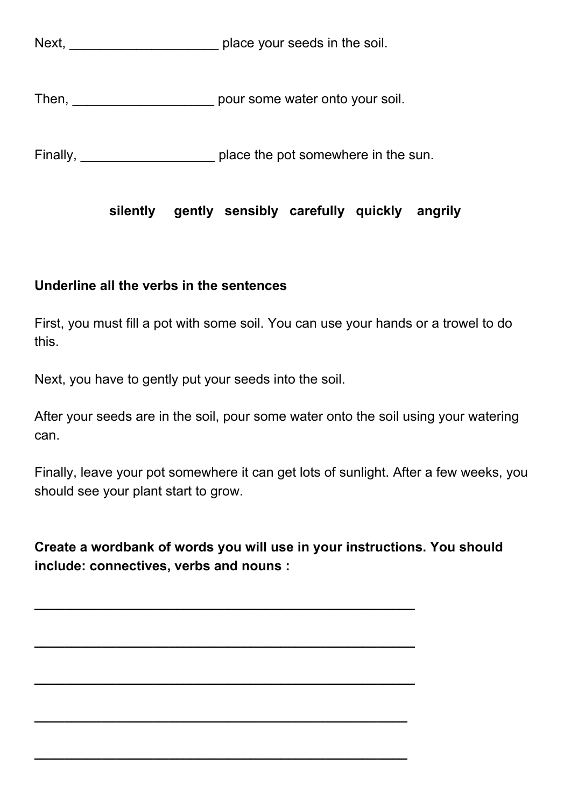Next, Next,  $\blacksquare$  place your seeds in the soil.

Then, \_\_\_\_\_\_\_\_\_\_\_\_\_\_\_\_\_\_\_\_\_\_\_\_\_\_\_\_\_\_\_\_\_ pour some water onto your soil.

Finally, \_\_\_\_\_\_\_\_\_\_\_\_\_\_\_\_\_\_\_\_\_\_\_\_\_\_\_\_ place the pot somewhere in the sun.

**silently gently sensibly carefully quickly angrily**

### **Underline all the verbs in the sentences**

First, you must fill a pot with some soil. You can use your hands or a trowel to do this.

Next, you have to gently put your seeds into the soil.

After your seeds are in the soil, pour some water onto the soil using your watering can.

Finally, leave your pot somewhere it can get lots of sunlight. After a few weeks, you should see your plant start to grow.

**Create a wordbank of words you will use in your instructions. You should include: connectives, verbs and nouns :**

**\_\_\_\_\_\_\_\_\_\_\_\_\_\_\_\_\_\_\_\_\_\_\_\_\_\_\_\_\_\_\_\_\_\_\_\_\_\_\_\_\_\_\_\_\_\_\_\_\_\_\_**

**\_\_\_\_\_\_\_\_\_\_\_\_\_\_\_\_\_\_\_\_\_\_\_\_\_\_\_\_\_\_\_\_\_\_\_\_\_\_\_\_\_\_\_\_\_\_\_\_\_\_\_**

**\_\_\_\_\_\_\_\_\_\_\_\_\_\_\_\_\_\_\_\_\_\_\_\_\_\_\_\_\_\_\_\_\_\_\_\_\_\_\_\_\_\_\_\_\_\_\_\_\_\_\_**

**\_\_\_\_\_\_\_\_\_\_\_\_\_\_\_\_\_\_\_\_\_\_\_\_\_\_\_\_\_\_\_\_\_\_\_\_\_\_\_\_\_\_\_\_\_\_\_\_\_\_**

**\_\_\_\_\_\_\_\_\_\_\_\_\_\_\_\_\_\_\_\_\_\_\_\_\_\_\_\_\_\_\_\_\_\_\_\_\_\_\_\_\_\_\_\_\_\_\_\_\_\_**